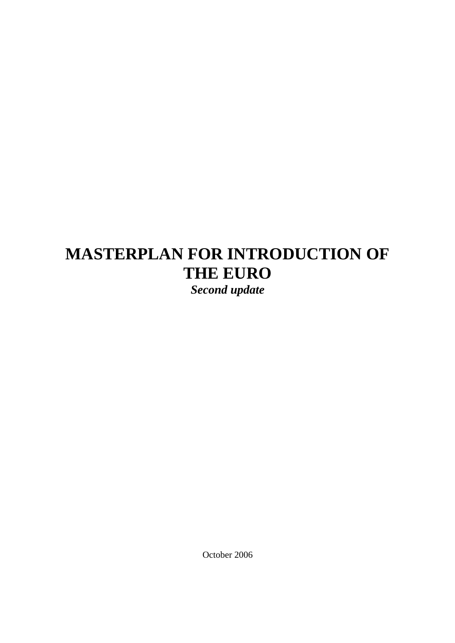# **MASTERPLAN FOR INTRODUCTION OF THE EURO**

*Second update* 

October 2006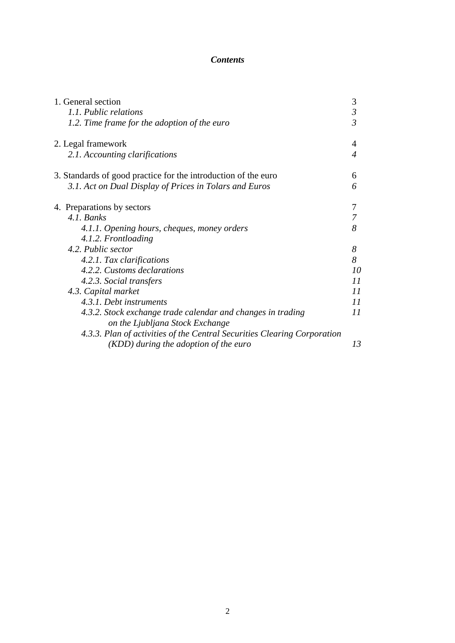# *Contents*

| 1. General section                                                                             | 3              |
|------------------------------------------------------------------------------------------------|----------------|
| 1.1. Public relations                                                                          | $\mathfrak{Z}$ |
| 1.2. Time frame for the adoption of the euro                                                   | $\overline{3}$ |
| 2. Legal framework                                                                             | 4              |
| 2.1. Accounting clarifications                                                                 | 4              |
| 3. Standards of good practice for the introduction of the euro                                 | 6              |
| 3.1. Act on Dual Display of Prices in Tolars and Euros                                         | 6              |
| 4. Preparations by sectors                                                                     | 7              |
| 4.1. Banks                                                                                     | 7              |
| 4.1.1. Opening hours, cheques, money orders                                                    | 8              |
| 4.1.2. Frontloading                                                                            |                |
| 4.2. Public sector                                                                             | 8              |
| 4.2.1. Tax clarifications                                                                      | 8              |
| 4.2.2. Customs declarations                                                                    | 10             |
| 4.2.3. Social transfers                                                                        | 11             |
| 4.3. Capital market                                                                            | 11             |
| 4.3.1. Debt instruments                                                                        | 11             |
| 4.3.2. Stock exchange trade calendar and changes in trading<br>on the Ljubljana Stock Exchange | 11             |
| 4.3.3. Plan of activities of the Central Securities Clearing Corporation                       |                |
| (KDD) during the adoption of the euro                                                          | 13             |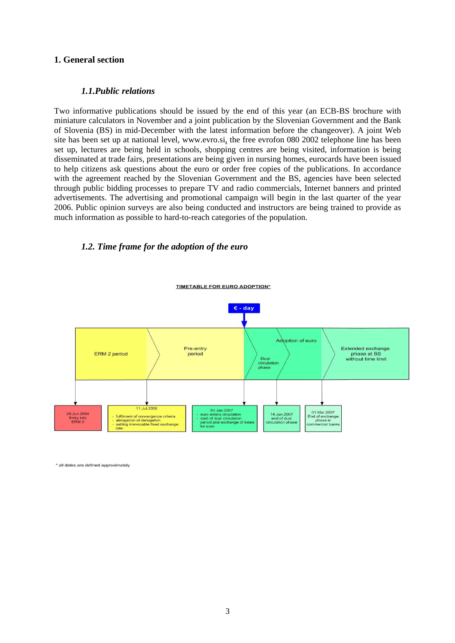## **1. General section**

## *1.1.Public relations*

Two informative publications should be issued by the end of this year (an ECB-BS brochure with miniature calculators in November and a joint publication by the Slovenian Government and the Bank of Slovenia (BS) in mid-December with the latest information before the changeover). A joint Web site has been set up at national level, [www.evro.si,](http://www.evro.si/) the free evrofon 080 2002 telephone line has been set up, lectures are being held in schools, shopping centres are being visited, information is being disseminated at trade fairs, presentations are being given in nursing homes, eurocards have been issued to help citizens ask questions about the euro or order free copies of the publications. In accordance with the agreement reached by the Slovenian Government and the BS, agencies have been selected through public bidding processes to prepare TV and radio commercials, Internet banners and printed advertisements. The advertising and promotional campaign will begin in the last quarter of the year 2006. Public opinion surveys are also being conducted and instructors are being trained to provide as much information as possible to hard-to-reach categories of the population.

## *1.2. Time frame for the adoption of the euro*



\* all dates are defined approximately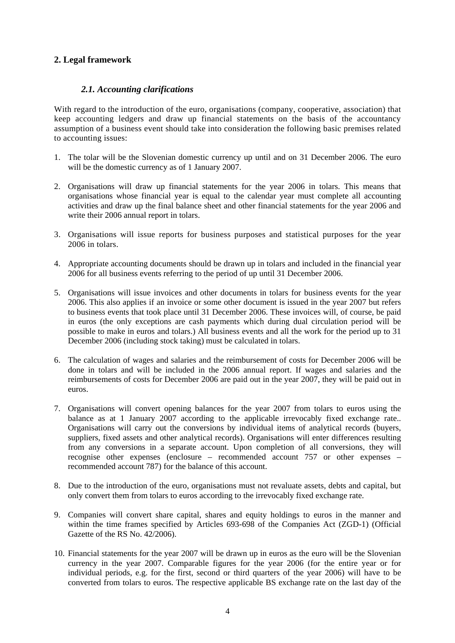# **2. Legal framework**

# *2.1. Accounting clarifications*

With regard to the introduction of the euro, organisations (company, cooperative, association) that keep accounting ledgers and draw up financial statements on the basis of the accountancy assumption of a business event should take into consideration the following basic premises related to accounting issues:

- 1. The tolar will be the Slovenian domestic currency up until and on 31 December 2006. The euro will be the domestic currency as of 1 January 2007.
- 2. Organisations will draw up financial statements for the year 2006 in tolars. This means that organisations whose financial year is equal to the calendar year must complete all accounting activities and draw up the final balance sheet and other financial statements for the year 2006 and write their 2006 annual report in tolars.
- 3. Organisations will issue reports for business purposes and statistical purposes for the year 2006 in tolars.
- 4. Appropriate accounting documents should be drawn up in tolars and included in the financial year 2006 for all business events referring to the period of up until 31 December 2006.
- 5. Organisations will issue invoices and other documents in tolars for business events for the year 2006. This also applies if an invoice or some other document is issued in the year 2007 but refers to business events that took place until 31 December 2006. These invoices will, of course, be paid in euros (the only exceptions are cash payments which during dual circulation period will be possible to make in euros and tolars.) All business events and all the work for the period up to 31 December 2006 (including stock taking) must be calculated in tolars.
- 6. The calculation of wages and salaries and the reimbursement of costs for December 2006 will be done in tolars and will be included in the 2006 annual report. If wages and salaries and the reimbursements of costs for December 2006 are paid out in the year 2007, they will be paid out in euros.
- 7. Organisations will convert opening balances for the year 2007 from tolars to euros using the balance as at 1 January 2007 according to the applicable irrevocably fixed exchange rate.. Organisations will carry out the conversions by individual items of analytical records (buyers, suppliers, fixed assets and other analytical records). Organisations will enter differences resulting from any conversions in a separate account. Upon completion of all conversions, they will recognise other expenses (enclosure – recommended account 757 or other expenses – recommended account 787) for the balance of this account.
- 8. Due to the introduction of the euro, organisations must not revaluate assets, debts and capital, but only convert them from tolars to euros according to the irrevocably fixed exchange rate.
- 9. Companies will convert share capital, shares and equity holdings to euros in the manner and within the time frames specified by Articles 693-698 of the Companies Act (ZGD-1) (Official Gazette of the RS No. 42/2006).
- 10. Financial statements for the year 2007 will be drawn up in euros as the euro will be the Slovenian currency in the year 2007. Comparable figures for the year 2006 (for the entire year or for individual periods, e.g. for the first, second or third quarters of the year 2006) will have to be converted from tolars to euros. The respective applicable BS exchange rate on the last day of the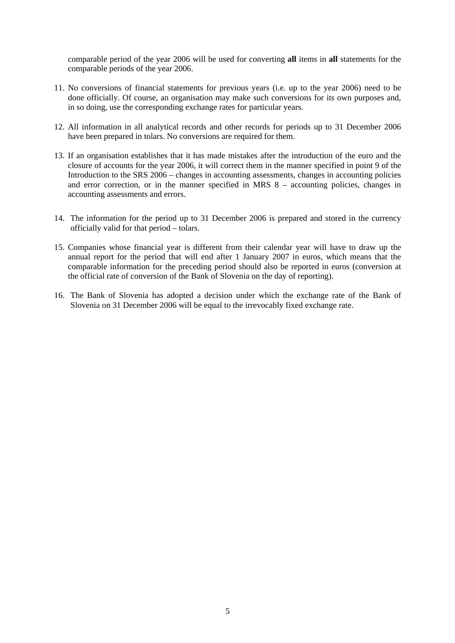comparable period of the year 2006 will be used for converting **all** items in **all** statements for the comparable periods of the year 2006.

- 11. No conversions of financial statements for previous years (i.e. up to the year 2006) need to be done officially. Of course, an organisation may make such conversions for its own purposes and, in so doing, use the corresponding exchange rates for particular years.
- 12. All information in all analytical records and other records for periods up to 31 December 2006 have been prepared in tolars. No conversions are required for them.
- 13. If an organisation establishes that it has made mistakes after the introduction of the euro and the closure of accounts for the year 2006, it will correct them in the manner specified in point 9 of the Introduction to the SRS 2006 – changes in accounting assessments, changes in accounting policies and error correction, or in the manner specified in MRS 8 – accounting policies, changes in accounting assessments and errors.
- 14. The information for the period up to 31 December 2006 is prepared and stored in the currency officially valid for that period – tolars.
- 15. Companies whose financial year is different from their calendar year will have to draw up the annual report for the period that will end after 1 January 2007 in euros, which means that the comparable information for the preceding period should also be reported in euros (conversion at the official rate of conversion of the Bank of Slovenia on the day of reporting).
- 16. The Bank of Slovenia has adopted a decision under which the exchange rate of the Bank of Slovenia on 31 December 2006 will be equal to the irrevocably fixed exchange rate.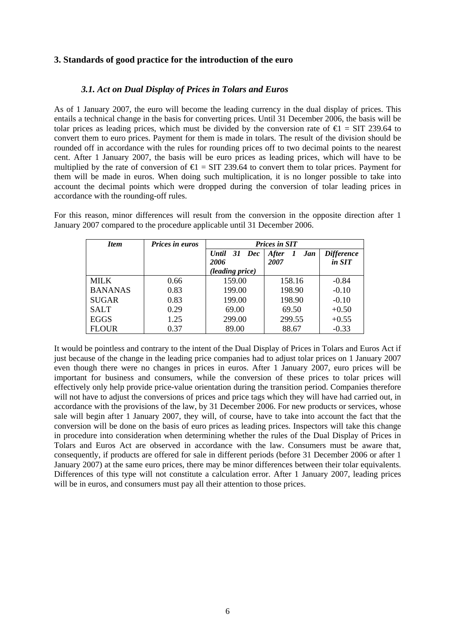# **3. Standards of good practice for the introduction of the euro**

## *3.1. Act on Dual Display of Prices in Tolars and Euros*

As of 1 January 2007, the euro will become the leading currency in the dual display of prices. This entails a technical change in the basis for converting prices. Until 31 December 2006, the basis will be tolar prices as leading prices, which must be divided by the conversion rate of  $\epsilon$  = SIT 239.64 to convert them to euro prices. Payment for them is made in tolars. The result of the division should be rounded off in accordance with the rules for rounding prices off to two decimal points to the nearest cent. After 1 January 2007, the basis will be euro prices as leading prices, which will have to be multiplied by the rate of conversion of  $\epsilon$  = SIT 239.64 to convert them to tolar prices. Payment for them will be made in euros. When doing such multiplication, it is no longer possible to take into account the decimal points which were dropped during the conversion of tolar leading prices in accordance with the rounding-off rules.

For this reason, minor differences will result from the conversion in the opposite direction after 1 January 2007 compared to the procedure applicable until 31 December 2006.

| <b>Item</b>    | <b>Prices in euros</b> | <b>Prices in SIT</b>           |                             |                             |  |
|----------------|------------------------|--------------------------------|-----------------------------|-----------------------------|--|
|                |                        | <b>Until</b><br>31 Dec<br>2006 | <b>After</b><br>Jan<br>2007 | <b>Difference</b><br>in SIT |  |
|                |                        | (leading price)                |                             |                             |  |
| <b>MILK</b>    | 0.66                   | 159.00                         | 158.16                      | $-0.84$                     |  |
| <b>BANANAS</b> | 0.83                   | 199.00                         | 198.90                      | $-0.10$                     |  |
| <b>SUGAR</b>   | 0.83                   | 199.00                         | 198.90                      | $-0.10$                     |  |
| <b>SALT</b>    | 0.29                   | 69.00                          | 69.50                       | $+0.50$                     |  |
| <b>EGGS</b>    | 1.25                   | 299.00                         | 299.55                      | $+0.55$                     |  |
| <b>FLOUR</b>   | 0.37                   | 89.00                          | 88.67                       | $-0.33$                     |  |

It would be pointless and contrary to the intent of the Dual Display of Prices in Tolars and Euros Act if just because of the change in the leading price companies had to adjust tolar prices on 1 January 2007 even though there were no changes in prices in euros. After 1 January 2007, euro prices will be important for business and consumers, while the conversion of these prices to tolar prices will effectively only help provide price-value orientation during the transition period. Companies therefore will not have to adjust the conversions of prices and price tags which they will have had carried out, in accordance with the provisions of the law, by 31 December 2006. For new products or services, whose sale will begin after 1 January 2007, they will, of course, have to take into account the fact that the conversion will be done on the basis of euro prices as leading prices. Inspectors will take this change in procedure into consideration when determining whether the rules of the Dual Display of Prices in Tolars and Euros Act are observed in accordance with the law. Consumers must be aware that, consequently, if products are offered for sale in different periods (before 31 December 2006 or after 1 January 2007) at the same euro prices, there may be minor differences between their tolar equivalents. Differences of this type will not constitute a calculation error. After 1 January 2007, leading prices will be in euros, and consumers must pay all their attention to those prices.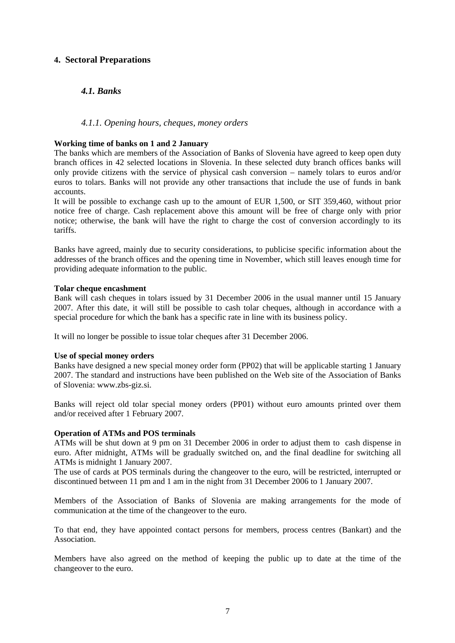# **4. Sectoral Preparations**

# *4.1. Banks*

## *4.1.1. Opening hours, cheques, money orders*

#### **Working time of banks on 1 and 2 January**

The banks which are members of the Association of Banks of Slovenia have agreed to keep open duty branch offices in 42 selected locations in Slovenia. In these selected duty branch offices banks will only provide citizens with the service of physical cash conversion – namely tolars to euros and/or euros to tolars. Banks will not provide any other transactions that include the use of funds in bank accounts.

It will be possible to exchange cash up to the amount of EUR 1,500, or SIT 359,460, without prior notice free of charge. Cash replacement above this amount will be free of charge only with prior notice; otherwise, the bank will have the right to charge the cost of conversion accordingly to its tariffs.

Banks have agreed, mainly due to security considerations, to publicise specific information about the addresses of the branch offices and the opening time in November, which still leaves enough time for providing adequate information to the public.

#### **Tolar cheque encashment**

Bank will cash cheques in tolars issued by 31 December 2006 in the usual manner until 15 January 2007. After this date, it will still be possible to cash tolar cheques, although in accordance with a special procedure for which the bank has a specific rate in line with its business policy.

It will no longer be possible to issue tolar cheques after 31 December 2006.

#### **Use of special money orders**

Banks have designed a new special money order form (PP02) that will be applicable starting 1 January 2007. The standard and instructions have been published on the Web site of the Association of Banks of Slovenia: [www.zbs-giz.si](http://www.zbs-giz.si/).

Banks will reject old tolar special money orders (PP01) without euro amounts printed over them and/or received after 1 February 2007.

#### **Operation of ATMs and POS terminals**

ATMs will be shut down at 9 pm on 31 December 2006 in order to adjust them to cash dispense in euro. After midnight, ATMs will be gradually switched on, and the final deadline for switching all ATMs is midnight 1 January 2007.

The use of cards at POS terminals during the changeover to the euro, will be restricted, interrupted or discontinued between 11 pm and 1 am in the night from 31 December 2006 to 1 January 2007.

Members of the Association of Banks of Slovenia are making arrangements for the mode of communication at the time of the changeover to the euro.

To that end, they have appointed contact persons for members, process centres (Bankart) and the Association.

Members have also agreed on the method of keeping the public up to date at the time of the changeover to the euro.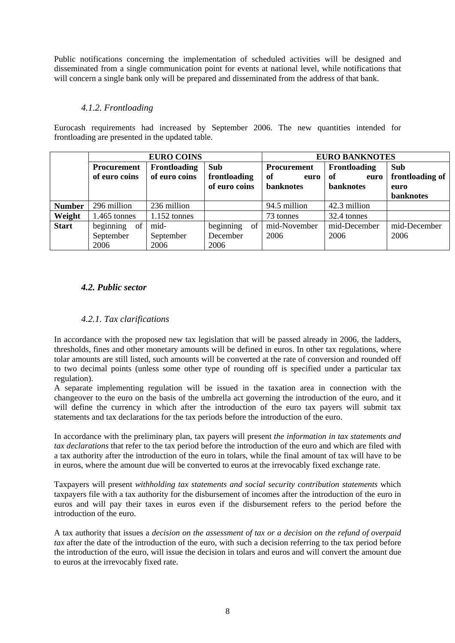Public notifications concerning the implementation of scheduled activities will be designed and disseminated from a single communication point for events at national level, while notifications that will concern a single bank only will be prepared and disseminated from the address of that bank.

# *4.1.2. Frontloading*

Eurocash requirements had increased by September 2006. The new quantities intended for frontloading are presented in the updated table.

|               | <b>EURO COINS</b>  |                |                       | <b>EURO BANKNOTES</b> |              |                  |
|---------------|--------------------|----------------|-----------------------|-----------------------|--------------|------------------|
|               | <b>Procurement</b> | Frontloading   | Sub                   | Procurement           | Frontloading | Sub              |
|               | of euro coins      | of euro coins  | frontloading          | of<br>euro            | of<br>euro   | frontloading of  |
|               |                    |                | of euro coins         | <b>banknotes</b>      | banknotes    | euro             |
|               |                    |                |                       |                       |              | <b>banknotes</b> |
| <b>Number</b> | 296 million        | 236 million    |                       | 94.5 million          | 42.3 million |                  |
| Weight        | $1.465$ tonnes     | $1.152$ tonnes |                       | 73 tonnes             | 32.4 tonnes  |                  |
| <b>Start</b>  | beginning<br>of    | mid-           | beginning<br>$\sigma$ | mid-November          | mid-December | mid-December     |
|               | September          | September      | December              | 2006                  | 2006         | 2006             |
|               | 2006               | 2006           | 2006                  |                       |              |                  |

# *4.2. Public sector*

# *4.2.1. Tax clarifications*

In accordance with the proposed new tax legislation that will be passed already in 2006, the ladders, thresholds, fines and other monetary amounts will be defined in euros. In other tax regulations, where tolar amounts are still listed, such amounts will be converted at the rate of conversion and rounded off to two decimal points (unless some other type of rounding off is specified under a particular tax regulation).

A separate implementing regulation will be issued in the taxation area in connection with the changeover to the euro on the basis of the umbrella act governing the introduction of the euro, and it will define the currency in which after the introduction of the euro tax payers will submit tax statements and tax declarations for the tax periods before the introduction of the euro.

In accordance with the preliminary plan, tax payers will present *the information in tax statements and tax declarations* that refer to the tax period before the introduction of the euro and which are filed with a tax authority after the introduction of the euro in tolars, while the final amount of tax will have to be in euros, where the amount due will be converted to euros at the irrevocably fixed exchange rate.

Taxpayers will present *withholding tax statements and social security contribution statements* which taxpayers file with a tax authority for the disbursement of incomes after the introduction of the euro in euros and will pay their taxes in euros even if the disbursement refers to the period before the introduction of the euro.

A tax authority that issues a *decision on the assessment of tax or a decision on the refund of overpaid tax* after the date of the introduction of the euro, with such a decision referring to the tax period before the introduction of the euro, will issue the decision in tolars and euros and will convert the amount due to euros at the irrevocably fixed rate.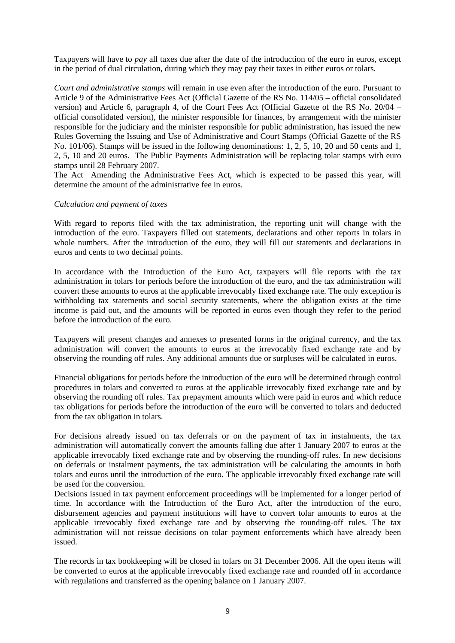Taxpayers will have to *pay* all taxes due after the date of the introduction of the euro in euros, except in the period of dual circulation, during which they may pay their taxes in either euros or tolars.

*Court and administrative stamps* will remain in use even after the introduction of the euro. Pursuant to Article 9 of the Administrative Fees Act (Official Gazette of the RS No. 114/05 – official consolidated version) and Article 6, paragraph 4, of the Court Fees Act (Official Gazette of the RS No. 20/04 – official consolidated version), the minister responsible for finances, by arrangement with the minister responsible for the judiciary and the minister responsible for public administration, has issued the new Rules Governing the Issuing and Use of Administrative and Court Stamps (Official Gazette of the RS No. 101/06). Stamps will be issued in the following denominations: 1, 2, 5, 10, 20 and 50 cents and 1, 2, 5, 10 and 20 euros. The Public Payments Administration will be replacing tolar stamps with euro stamps until 28 February 2007.

The Act Amending the Administrative Fees Act, which is expected to be passed this year, will determine the amount of the administrative fee in euros.

#### *Calculation and payment of taxes*

With regard to reports filed with the tax administration, the reporting unit will change with the introduction of the euro. Taxpayers filled out statements, declarations and other reports in tolars in whole numbers. After the introduction of the euro, they will fill out statements and declarations in euros and cents to two decimal points.

In accordance with the Introduction of the Euro Act, taxpayers will file reports with the tax administration in tolars for periods before the introduction of the euro, and the tax administration will convert these amounts to euros at the applicable irrevocably fixed exchange rate. The only exception is withholding tax statements and social security statements, where the obligation exists at the time income is paid out, and the amounts will be reported in euros even though they refer to the period before the introduction of the euro.

Taxpayers will present changes and annexes to presented forms in the original currency, and the tax administration will convert the amounts to euros at the irrevocably fixed exchange rate and by observing the rounding off rules. Any additional amounts due or surpluses will be calculated in euros.

Financial obligations for periods before the introduction of the euro will be determined through control procedures in tolars and converted to euros at the applicable irrevocably fixed exchange rate and by observing the rounding off rules. Tax prepayment amounts which were paid in euros and which reduce tax obligations for periods before the introduction of the euro will be converted to tolars and deducted from the tax obligation in tolars.

For decisions already issued on tax deferrals or on the payment of tax in instalments, the tax administration will automatically convert the amounts falling due after 1 January 2007 to euros at the applicable irrevocably fixed exchange rate and by observing the rounding-off rules. In new decisions on deferrals or instalment payments, the tax administration will be calculating the amounts in both tolars and euros until the introduction of the euro. The applicable irrevocably fixed exchange rate will be used for the conversion.

Decisions issued in tax payment enforcement proceedings will be implemented for a longer period of time. In accordance with the Introduction of the Euro Act, after the introduction of the euro, disbursement agencies and payment institutions will have to convert tolar amounts to euros at the applicable irrevocably fixed exchange rate and by observing the rounding-off rules. The tax administration will not reissue decisions on tolar payment enforcements which have already been issued.

The records in tax bookkeeping will be closed in tolars on 31 December 2006. All the open items will be converted to euros at the applicable irrevocably fixed exchange rate and rounded off in accordance with regulations and transferred as the opening balance on 1 January 2007.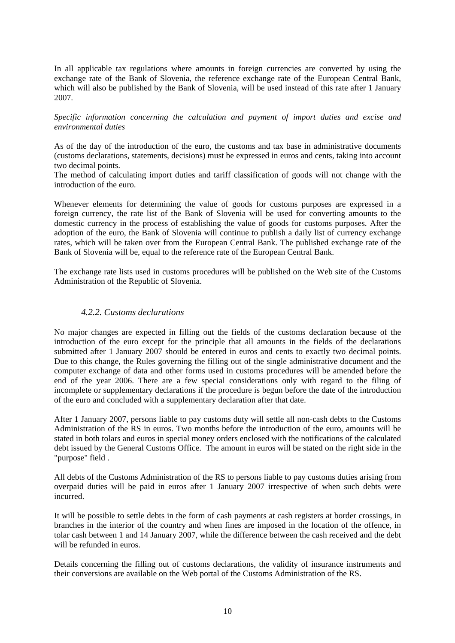In all applicable tax regulations where amounts in foreign currencies are converted by using the exchange rate of the Bank of Slovenia, the reference exchange rate of the European Central Bank, which will also be published by the Bank of Slovenia, will be used instead of this rate after 1 January 2007.

*Specific information concerning the calculation and payment of import duties and excise and environmental duties* 

As of the day of the introduction of the euro, the customs and tax base in administrative documents (customs declarations, statements, decisions) must be expressed in euros and cents, taking into account two decimal points.

The method of calculating import duties and tariff classification of goods will not change with the introduction of the euro.

Whenever elements for determining the value of goods for customs purposes are expressed in a foreign currency, the rate list of the Bank of Slovenia will be used for converting amounts to the domestic currency in the process of establishing the value of goods for customs purposes. After the adoption of the euro, the Bank of Slovenia will continue to publish a daily list of currency exchange rates, which will be taken over from the European Central Bank. The published exchange rate of the Bank of Slovenia will be, equal to the reference rate of the European Central Bank.

The exchange rate lists used in customs procedures will be published on the Web site of the Customs Administration of the Republic of Slovenia.

## *4.2.2. Customs declarations*

No major changes are expected in filling out the fields of the customs declaration because of the introduction of the euro except for the principle that all amounts in the fields of the declarations submitted after 1 January 2007 should be entered in euros and cents to exactly two decimal points. Due to this change, the Rules governing the filling out of the single administrative document and the computer exchange of data and other forms used in customs procedures will be amended before the end of the year 2006. There are a few special considerations only with regard to the filing of incomplete or supplementary declarations if the procedure is begun before the date of the introduction of the euro and concluded with a supplementary declaration after that date.

After 1 January 2007, persons liable to pay customs duty will settle all non-cash debts to the Customs Administration of the RS in euros. Two months before the introduction of the euro, amounts will be stated in both tolars and euros in special money orders enclosed with the notifications of the calculated debt issued by the General Customs Office. The amount in euros will be stated on the right side in the "purpose" field .

All debts of the Customs Administration of the RS to persons liable to pay customs duties arising from overpaid duties will be paid in euros after 1 January 2007 irrespective of when such debts were incurred.

It will be possible to settle debts in the form of cash payments at cash registers at border crossings, in branches in the interior of the country and when fines are imposed in the location of the offence, in tolar cash between 1 and 14 January 2007, while the difference between the cash received and the debt will be refunded in euros.

Details concerning the filling out of customs declarations, the validity of insurance instruments and their conversions are available on the Web portal of the Customs Administration of the RS.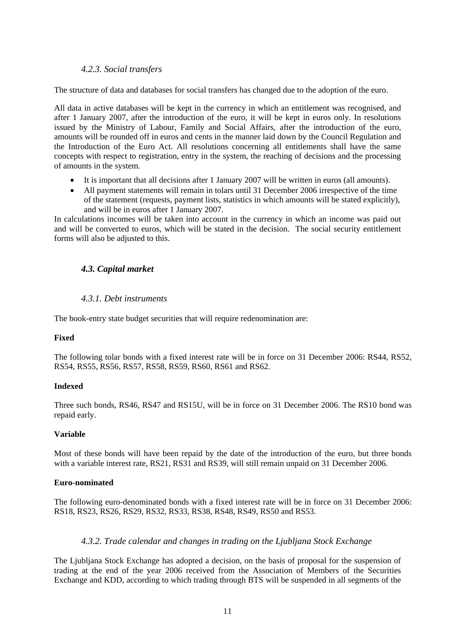## *4.2.3. Social transfers*

The structure of data and databases for social transfers has changed due to the adoption of the euro.

All data in active databases will be kept in the currency in which an entitlement was recognised, and after 1 January 2007, after the introduction of the euro, it will be kept in euros only. In resolutions issued by the Ministry of Labour, Family and Social Affairs, after the introduction of the euro, amounts will be rounded off in euros and cents in the manner laid down by the Council Regulation and the Introduction of the Euro Act. All resolutions concerning all entitlements shall have the same concepts with respect to registration, entry in the system, the reaching of decisions and the processing of amounts in the system.

- It is important that all decisions after 1 January 2007 will be written in euros (all amounts).
- All payment statements will remain in tolars until 31 December 2006 irrespective of the time of the statement (requests, payment lists, statistics in which amounts will be stated explicitly), and will be in euros after 1 January 2007.

In calculations incomes will be taken into account in the currency in which an income was paid out and will be converted to euros, which will be stated in the decision. The social security entitlement forms will also be adjusted to this.

## *4.3. Capital market*

## *4.3.1. Debt instruments*

The book-entry state budget securities that will require redenomination are:

#### **Fixed**

The following tolar bonds with a fixed interest rate will be in force on 31 December 2006: RS44, RS52, RS54, RS55, RS56, RS57, RS58, RS59, RS60, RS61 and RS62.

#### **Indexed**

Three such bonds, RS46, RS47 and RS15U, will be in force on 31 December 2006. The RS10 bond was repaid early.

#### **Variable**

Most of these bonds will have been repaid by the date of the introduction of the euro, but three bonds with a variable interest rate, RS21, RS31 and RS39, will still remain unpaid on 31 December 2006.

### **Euro-nominated**

The following euro-denominated bonds with a fixed interest rate will be in force on 31 December 2006: RS18, RS23, RS26, RS29, RS32, RS33, RS38, RS48, RS49, RS50 and RS53.

#### *4.3.2. Trade calendar and changes in trading on the Ljubljana Stock Exchange*

The Ljubljana Stock Exchange has adopted a decision, on the basis of proposal for the suspension of trading at the end of the year 2006 received from the Association of Members of the Securities Exchange and KDD, according to which trading through BTS will be suspended in all segments of the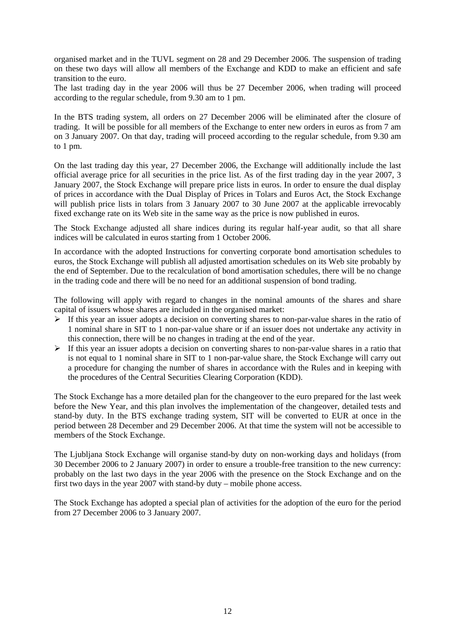organised market and in the TUVL segment on 28 and 29 December 2006. The suspension of trading on these two days will allow all members of the Exchange and KDD to make an efficient and safe transition to the euro.

The last trading day in the year 2006 will thus be 27 December 2006, when trading will proceed according to the regular schedule, from 9.30 am to 1 pm.

In the BTS trading system, all orders on 27 December 2006 will be eliminated after the closure of trading. It will be possible for all members of the Exchange to enter new orders in euros as from 7 am on 3 January 2007. On that day, trading will proceed according to the regular schedule, from 9.30 am to 1 pm.

On the last trading day this year, 27 December 2006, the Exchange will additionally include the last official average price for all securities in the price list. As of the first trading day in the year 2007, 3 January 2007, the Stock Exchange will prepare price lists in euros. In order to ensure the dual display of prices in accordance with the Dual Display of Prices in Tolars and Euros Act, the Stock Exchange will publish price lists in tolars from 3 January 2007 to 30 June 2007 at the applicable irrevocably fixed exchange rate on its Web site in the same way as the price is now published in euros.

The Stock Exchange adjusted all share indices during its regular half-year audit, so that all share indices will be calculated in euros starting from 1 October 2006.

In accordance with the adopted Instructions for converting corporate bond amortisation schedules to euros, the Stock Exchange will publish all adjusted amortisation schedules on its Web site probably by the end of September. Due to the recalculation of bond amortisation schedules, there will be no change in the trading code and there will be no need for an additional suspension of bond trading.

The following will apply with regard to changes in the nominal amounts of the shares and share capital of issuers whose shares are included in the organised market:

- $\triangleright$  If this year an issuer adopts a decision on converting shares to non-par-value shares in the ratio of 1 nominal share in SIT to 1 non-par-value share or if an issuer does not undertake any activity in this connection, there will be no changes in trading at the end of the year.
- $\triangleright$  If this year an issuer adopts a decision on converting shares to non-par-value shares in a ratio that is not equal to 1 nominal share in SIT to 1 non-par-value share, the Stock Exchange will carry out a procedure for changing the number of shares in accordance with the Rules and in keeping with the procedures of the Central Securities Clearing Corporation (KDD).

The Stock Exchange has a more detailed plan for the changeover to the euro prepared for the last week before the New Year, and this plan involves the implementation of the changeover, detailed tests and stand-by duty. In the BTS exchange trading system, SIT will be converted to EUR at once in the period between 28 December and 29 December 2006. At that time the system will not be accessible to members of the Stock Exchange.

The Ljubljana Stock Exchange will organise stand-by duty on non-working days and holidays (from 30 December 2006 to 2 January 2007) in order to ensure a trouble-free transition to the new currency: probably on the last two days in the year 2006 with the presence on the Stock Exchange and on the first two days in the year 2007 with stand-by duty – mobile phone access.

The Stock Exchange has adopted a special plan of activities for the adoption of the euro for the period from 27 December 2006 to 3 January 2007.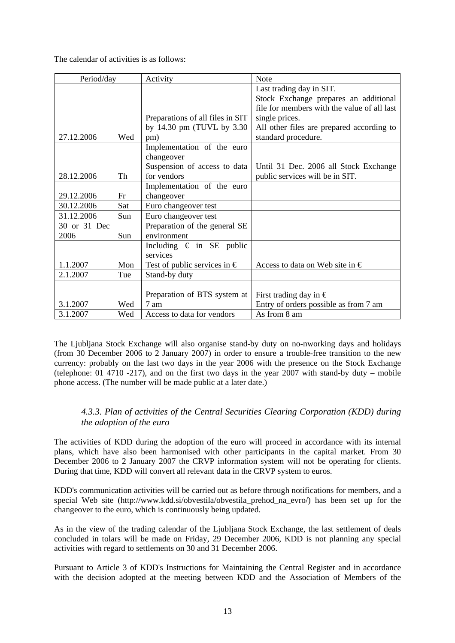The calendar of activities is as follows:

| Period/day   |     | Activity                              | Note                                        |
|--------------|-----|---------------------------------------|---------------------------------------------|
|              |     |                                       | Last trading day in SIT.                    |
|              |     |                                       | Stock Exchange prepares an additional       |
|              |     |                                       | file for members with the value of all last |
|              |     | Preparations of all files in SIT      | single prices.                              |
|              |     | by 14.30 pm (TUVL by 3.30)            | All other files are prepared according to   |
| 27.12.2006   | Wed | pm)                                   | standard procedure.                         |
|              |     | Implementation of the euro            |                                             |
|              |     | changeover                            |                                             |
|              |     | Suspension of access to data          | Until 31 Dec. 2006 all Stock Exchange       |
| 28.12.2006   | Th  | for vendors                           | public services will be in SIT.             |
|              |     | Implementation of the euro            |                                             |
| 29.12.2006   | Fr  | changeover                            |                                             |
| 30.12.2006   | Sat | Euro changeover test                  |                                             |
| 31.12.2006   | Sun | Euro changeover test                  |                                             |
| 30 or 31 Dec |     | Preparation of the general SE         |                                             |
| 2006         | Sun | environment                           |                                             |
|              |     | Including $\epsilon$ in SE public     |                                             |
|              |     | services                              |                                             |
| 1.1.2007     | Mon | Test of public services in $\epsilon$ | Access to data on Web site in $\epsilon$    |
| 2.1.2007     | Tue | Stand-by duty                         |                                             |
|              |     |                                       |                                             |
|              |     | Preparation of BTS system at          | First trading day in $\in$                  |
| 3.1.2007     | Wed | 7 am                                  | Entry of orders possible as from 7 am       |
| 3.1.2007     | Wed | Access to data for vendors            | As from 8 am                                |

The Ljubljana Stock Exchange will also organise stand-by duty on no-nworking days and holidays (from 30 December 2006 to 2 January 2007) in order to ensure a trouble-free transition to the new currency: probably on the last two days in the year 2006 with the presence on the Stock Exchange (telephone: 01 4710 -217), and on the first two days in the year  $2007$  with stand-by duty – mobile phone access. (The number will be made public at a later date.)

# *4.3.3. Plan of activities of the Central Securities Clearing Corporation (KDD) during the adoption of the euro*

The activities of KDD during the adoption of the euro will proceed in accordance with its internal plans, which have also been harmonised with other participants in the capital market. From 30 December 2006 to 2 January 2007 the CRVP information system will not be operating for clients. During that time, KDD will convert all relevant data in the CRVP system to euros.

KDD's communication activities will be carried out as before through notifications for members, and a special Web site ([http://www.kdd.si/obvestila/obvestila\\_prehod\\_na\\_evro/\)](http://www.kdd.si/obvestila/obvestila_prehod_na_evro/) has been set up for the changeover to the euro, which is continuously being updated.

As in the view of the trading calendar of the Ljubljana Stock Exchange, the last settlement of deals concluded in tolars will be made on Friday, 29 December 2006, KDD is not planning any special activities with regard to settlements on 30 and 31 December 2006.

Pursuant to Article 3 of KDD's Instructions for Maintaining the Central Register and in accordance with the decision adopted at the meeting between KDD and the Association of Members of the